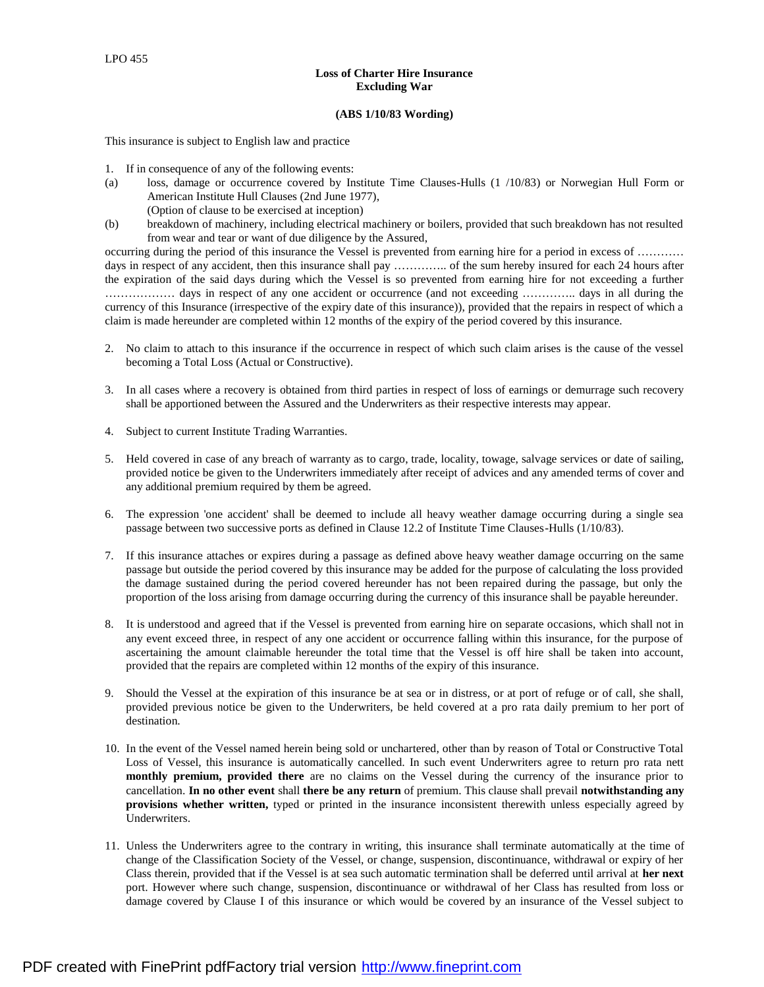## **Loss of Charter Hire Insurance Excluding War**

## **(ABS 1/10/83 Wording)**

This insurance is subject to English law and practice

- 1. If in consequence of any of the following events:
- (a) loss, damage or occurrence covered by Institute Time Clauses-Hulls (1 /10/83) or Norwegian Hull Form or American Institute Hull Clauses (2nd June 1977), (Option of clause to be exercised at inception)
- (b) breakdown of machinery, including electrical machinery or boilers, provided that such breakdown has not resulted from wear and tear or want of due diligence by the Assured,

occurring during the period of this insurance the Vessel is prevented from earning hire for a period in excess of ………… days in respect of any accident, then this insurance shall pay ............... of the sum hereby insured for each 24 hours after the expiration of the said days during which the Vessel is so prevented from earning hire for not exceeding a further ……………… days in respect of any one accident or occurrence (and not exceeding ………….. days in all during the currency of this Insurance (irrespective of the expiry date of this insurance)), provided that the repairs in respect of which a claim is made hereunder are completed within 12 months of the expiry of the period covered by this insurance.

- 2. No claim to attach to this insurance if the occurrence in respect of which such claim arises is the cause of the vessel becoming a Total Loss (Actual or Constructive).
- 3. In all cases where a recovery is obtained from third parties in respect of loss of earnings or demurrage such recovery shall be apportioned between the Assured and the Underwriters as their respective interests may appear.
- 4. Subject to current Institute Trading Warranties.
- 5. Held covered in case of any breach of warranty as to cargo, trade, locality, towage, salvage services or date of sailing, provided notice be given to the Underwriters immediately after receipt of advices and any amended terms of cover and any additional premium required by them be agreed.
- 6. The expression 'one accident' shall be deemed to include all heavy weather damage occurring during a single sea passage between two successive ports as defined in Clause 12.2 of Institute Time Clauses-Hulls (1/10/83).
- 7. If this insurance attaches or expires during a passage as defined above heavy weather damage occurring on the same passage but outside the period covered by this insurance may be added for the purpose of calculating the loss provided the damage sustained during the period covered hereunder has not been repaired during the passage, but only the proportion of the loss arising from damage occurring during the currency of this insurance shall be payable hereunder.
- 8. It is understood and agreed that if the Vessel is prevented from earning hire on separate occasions, which shall not in any event exceed three, in respect of any one accident or occurrence falling within this insurance, for the purpose of ascertaining the amount claimable hereunder the total time that the Vessel is off hire shall be taken into account, provided that the repairs are completed within 12 months of the expiry of this insurance.
- 9. Should the Vessel at the expiration of this insurance be at sea or in distress, or at port of refuge or of call, she shall, provided previous notice be given to the Underwriters, be held covered at a pro rata daily premium to her port of destination.
- 10. In the event of the Vessel named herein being sold or unchartered, other than by reason of Total or Constructive Total Loss of Vessel, this insurance is automatically cancelled. In such event Underwriters agree to return pro rata nett **monthly premium, provided there** are no claims on the Vessel during the currency of the insurance prior to cancellation. **In no other event** shall **there be any return** of premium. This clause shall prevail **notwithstanding any provisions whether written,** typed or printed in the insurance inconsistent therewith unless especially agreed by Underwriters.
- 11. Unless the Underwriters agree to the contrary in writing, this insurance shall terminate automatically at the time of change of the Classification Society of the Vessel, or change, suspension, discontinuance, withdrawal or expiry of her Class therein, provided that if the Vessel is at sea such automatic termination shall be deferred until arrival at **her next**  port. However where such change, suspension, discontinuance or withdrawal of her Class has resulted from loss or damage covered by Clause I of this insurance or which would be covered by an insurance of the Vessel subject to